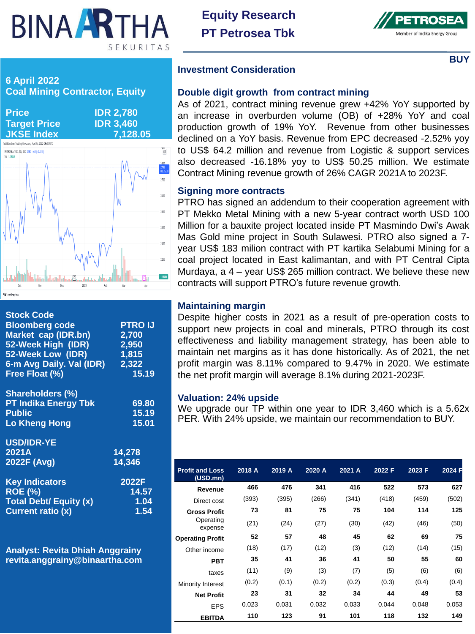# **BINA ARTHA** SEKURITAS

**Equity Research PT Petrosea Tbk**



**BUY**



| <b>Stock Code</b><br><b>Bloomberg code</b><br>Market cap (IDR.bn)<br>52-Week High (IDR)<br>52-Week Low (IDR)<br>6-m Avg Daily. Val (IDR)<br>Free Float (%) | <b>PTRO IJ</b><br>2,700<br>2,950<br>1,815<br>2,322<br>15.19 |
|------------------------------------------------------------------------------------------------------------------------------------------------------------|-------------------------------------------------------------|
| <b>Shareholders (%)</b><br><b>PT Indika Energy Tbk</b><br><b>Public</b><br><b>Lo Kheng Hong</b>                                                            | 69.80<br>15.19<br>15.01                                     |
| <b>USD/IDR-YE</b><br>2021A<br>2022F (Avg)                                                                                                                  | 14,278<br>14,346                                            |
| <b>Key Indicators</b><br><b>ROE (%)</b><br><b>Total Debt/ Equity (x)</b><br><b>Current ratio (x)</b>                                                       | 2022F<br>14.57<br>1.04<br>1.54                              |

**Analyst: Revita Dhiah Anggrainy revita.anggrainy@binaartha.com**

### **Investment Consideration**

### **Double digit growth from contract mining**

As of 2021, contract mining revenue grew +42% YoY supported by an increase in overburden volume (OB) of +28% YoY and coal production growth of 19% YoY. Revenue from other businesses declined on a YoY basis. Revenue from EPC decreased -2.52% yoy to US\$ 64.2 million and revenue from Logistic & support services also decreased -16.18% yoy to US\$ 50.25 million. We estimate Contract Mining revenue growth of 26% CAGR 2021A to 2023F.

# **Signing more contracts**

PTRO has signed an addendum to their cooperation agreement with PT Mekko Metal Mining with a new 5-year contract worth USD 100 Million for a bauxite project located inside PT Masmindo Dwi's Awak Mas Gold mine project in South Sulawesi. PTRO also signed a 7 year US\$ 183 milion contract with PT kartika Selabumi Mining for a coal project located in East kalimantan, and with PT Central Cipta Murdaya, a 4 – year US\$ 265 million contract. We believe these new contracts will support PTRO's future revenue growth.

# **Maintaining margin**

Despite higher costs in 2021 as a result of pre-operation costs to support new projects in coal and minerals, PTRO through its cost effectiveness and liability management strategy, has been able to maintain net margins as it has done historically. As of 2021, the net profit margin was 8.11% compared to 9.47% in 2020. We estimate the net profit margin will average 8.1% during 2021-2023F.

# **Valuation: 24% upside**

We upgrade our TP within one year to IDR 3,460 which is a 5.62x PER. With 24% upside, we maintain our recommendation to BUY.

| <b>Profit and Loss</b><br>(USD.mn) | 2018 A | 2019 A | 2020 A | 2021 A | 2022 F | 2023 F | 2024 F |
|------------------------------------|--------|--------|--------|--------|--------|--------|--------|
| Revenue                            | 466    | 476    | 341    | 416    | 522    | 573    | 627    |
| Direct cost                        | (393)  | (395)  | (266)  | (341)  | (418)  | (459)  | (502)  |
| <b>Gross Profit</b>                | 73     | 81     | 75     | 75     | 104    | 114    | 125    |
| Operating<br>expense               | (21)   | (24)   | (27)   | (30)   | (42)   | (46)   | (50)   |
| <b>Operating Profit</b>            | 52     | 57     | 48     | 45     | 62     | 69     | 75     |
| Other income                       | (18)   | (17)   | (12)   | (3)    | (12)   | (14)   | (15)   |
| <b>PBT</b>                         | 35     | 41     | 36     | 41     | 50     | 55     | 60     |
| taxes                              | (11)   | (9)    | (3)    | (7)    | (5)    | (6)    | (6)    |
| Minority Interest                  | (0.2)  | (0.1)  | (0.2)  | (0.2)  | (0.3)  | (0.4)  | (0.4)  |
| <b>Net Profit</b>                  | 23     | 31     | 32     | 34     | 44     | 49     | 53     |
| <b>EPS</b>                         | 0.023  | 0.031  | 0.032  | 0.033  | 0.044  | 0.048  | 0.053  |
| <b>EBITDA</b>                      | 110    | 123    | 91     | 101    | 118    | 132    | 149    |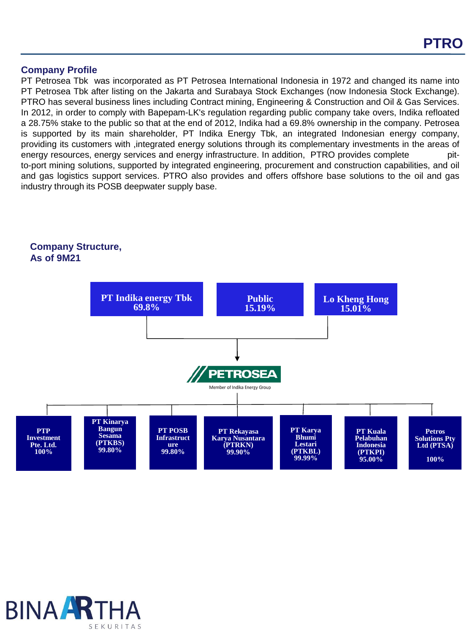#### **Company Profile**

PT Petrosea Tbk was incorporated as PT Petrosea International Indonesia in 1972 and changed its name into PT Petrosea Tbk after listing on the Jakarta and Surabaya Stock Exchanges (now Indonesia Stock Exchange). PTRO has several business lines including Contract mining, Engineering & Construction and Oil & Gas Services. In 2012, in order to comply with Bapepam-LK's regulation regarding public company take overs, Indika refloated a 28.75% stake to the public so that at the end of 2012, Indika had a 69.8% ownership in the company. Petrosea is supported by its main shareholder, PT Indika Energy Tbk, an integrated Indonesian energy company, providing its customers with ,integrated energy solutions through its complementary investments in the areas of energy resources, energy services and energy infrastructure. In addition, PTRO provides complete pitto-port mining solutions, supported by integrated engineering, procurement and construction capabilities, and oil and gas logistics support services. PTRO also provides and offers offshore base solutions to the oil and gas industry through its POSB deepwater supply base.

# **Company Structure, As of 9M21**



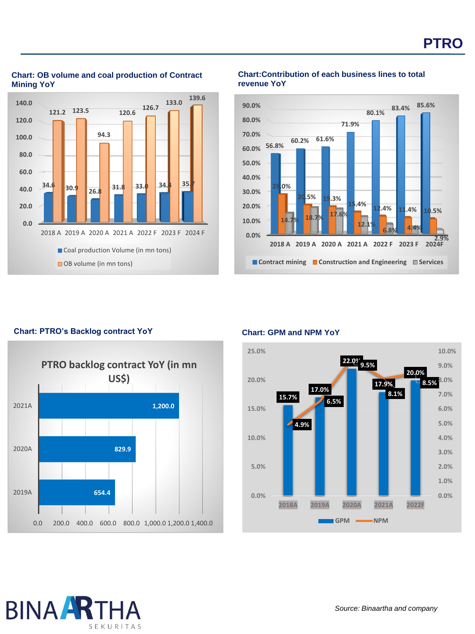

#### **Chart: OB volume and coal production of Contract Mining YoY**

#### **Chart:Contribution of each business lines to total revenue YoY**



# **Chart: PTRO's Backlog contract YoY**



#### **Chart: GPM and NPM YoY**



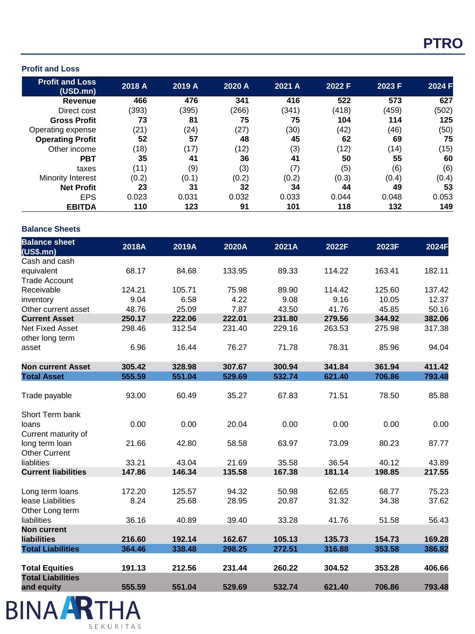#### **Profit and Loss**

| <b>Profit and Loss</b><br>(USD.mn) | 2018 A | 2019 A | 2020 A | 2021 A | 2022 F | 2023 F | 2024 F |
|------------------------------------|--------|--------|--------|--------|--------|--------|--------|
| Revenue                            | 466    | 476    | 341    | 416    | 522    | 573    | 627    |
| Direct cost                        | (393)  | (395)  | (266)  | (341)  | (418)  | (459)  | (502)  |
| <b>Gross Profit</b>                | 73     | 81     | 75     | 75     | 104    | 114    | 125    |
| Operating expense                  | (21)   | (24)   | (27)   | (30)   | (42)   | (46)   | (50)   |
| <b>Operating Profit</b>            | 52     | 57     | 48     | 45     | 62     | 69     | 75     |
| Other income                       | (18)   | (17)   | (12)   | (3)    | (12)   | (14)   | (15)   |
| <b>PBT</b>                         | 35     | 41     | 36     | 41     | 50     | 55     | 60     |
| taxes                              | (11)   | (9)    | (3)    | (7)    | (5)    | (6)    | (6)    |
| <b>Minority Interest</b>           | (0.2)  | (0.1)  | (0.2)  | (0.2)  | (0.3)  | (0.4)  | (0.4)  |
| <b>Net Profit</b>                  | 23     | 31     | 32     | 34     | 44     | 49     | 53     |
| <b>EPS</b>                         | 0.023  | 0.031  | 0.032  | 0.033  | 0.044  | 0.048  | 0.053  |
| <b>EBITDA</b>                      | 110    | 123    | 91     | 101    | 118    | 132    | 149    |

#### **Balance Sheet s**

| <b>Balance sheet</b><br>(US\$.mn) | 2018A  | 2019A  | 2020A  | 2021A  | 2022F  | 2023F  | 2024F  |
|-----------------------------------|--------|--------|--------|--------|--------|--------|--------|
| Cash and cash                     |        |        |        |        |        |        |        |
| equivalent                        | 68.17  | 84.68  | 133.95 | 89.33  | 114.22 | 163.41 | 182.11 |
| <b>Trade Account</b>              |        |        |        |        |        |        |        |
| Receivable                        | 124.21 | 105.71 | 75.98  | 89.90  | 114.42 | 125.60 | 137.42 |
| inventory                         | 9.04   | 6.58   | 4.22   | 9.08   | 9.16   | 10.05  | 12.37  |
| Other current asset               | 48.76  | 25.09  | 7.87   | 43.50  | 41.76  | 45.85  | 50.16  |
| <b>Current Asset</b>              | 250.17 | 222.06 | 222.01 | 231.80 | 279.56 | 344.92 | 382.06 |
| <b>Net Fixed Asset</b>            | 298.46 | 312.54 | 231.40 | 229.16 | 263.53 | 275.98 | 317.38 |
| other long term                   |        |        |        |        |        |        |        |
| asset                             | 6.96   | 16.44  | 76.27  | 71.78  | 78.31  | 85.96  | 94.04  |
| <b>Non current Asset</b>          | 305.42 | 328.98 | 307.67 | 300.94 | 341.84 | 361.94 | 411.42 |
| <b>Total Asset</b>                | 555.59 | 551.04 | 529.69 | 532.74 | 621.40 | 706.86 | 793.48 |
|                                   |        |        |        |        |        |        |        |
| Trade payable                     | 93.00  | 60.49  | 35.27  | 67.83  | 71.51  | 78.50  | 85.88  |
| Short Term bank                   |        |        |        |        |        |        |        |
| loans                             | 0.00   | 0.00   | 20.04  | 0.00   | 0.00   | 0.00   | 0.00   |
| Current maturity of               |        |        |        |        |        |        |        |
| long term loan                    | 21.66  | 42.80  | 58.58  | 63.97  | 73.09  | 80.23  | 87.77  |
| <b>Other Current</b>              |        |        |        |        |        |        |        |
| liablities                        | 33.21  | 43.04  | 21.69  | 35.58  | 36.54  | 40.12  | 43.89  |
| <b>Current liabilities</b>        | 147.86 | 146.34 | 135.58 | 167.38 | 181.14 | 198.85 | 217.55 |
| Long term loans                   | 172.20 | 125.57 | 94.32  | 50.98  | 62.65  | 68.77  | 75.23  |
| lease Liabilities                 | 8.24   | 25.68  | 28.95  | 20.87  | 31.32  | 34.38  | 37.62  |
| Other Long term                   |        |        |        |        |        |        |        |
| liabilities                       | 36.16  | 40.89  | 39.40  | 33.28  | 41.76  | 51.58  | 56.43  |
| <b>Non current</b>                |        |        |        |        |        |        |        |
| <b>liabilities</b>                | 216.60 | 192.14 | 162.67 | 105.13 | 135.73 | 154.73 | 169.28 |
| <b>Total Liabilities</b>          | 364.46 | 338.48 | 298.25 | 272.51 | 316.88 | 353.58 | 386.82 |
|                                   |        |        |        |        |        |        |        |
| <b>Total Equities</b>             | 191.13 | 212.56 | 231.44 | 260.22 | 304.52 | 353.28 | 406.66 |
| <b>Total Liabilities</b>          |        |        |        |        |        |        |        |
| and equity                        | 555.59 | 551.04 | 529.69 | 532.74 | 621.40 | 706.86 | 793.48 |

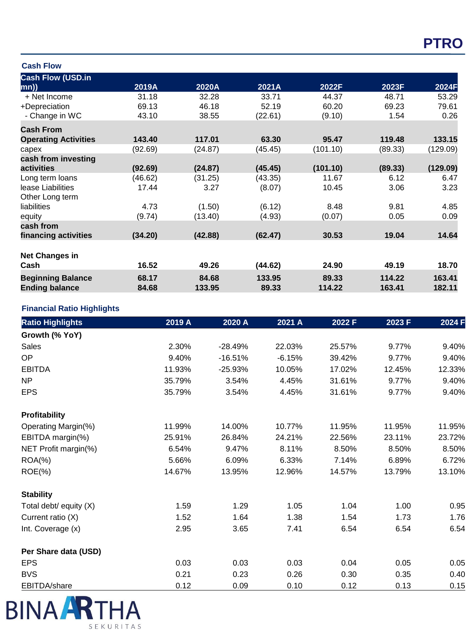# **PTRO**

#### **Cash Flow**

| <b>Cash Flow (USD.in</b>    |         |         |         |          |         |          |
|-----------------------------|---------|---------|---------|----------|---------|----------|
| mn))                        | 2019A   | 2020A   | 2021A   | 2022F    | 2023F   | 2024F    |
| + Net Income                | 31.18   | 32.28   | 33.71   | 44.37    | 48.71   | 53.29    |
| +Depreciation               | 69.13   | 46.18   | 52.19   | 60.20    | 69.23   | 79.61    |
| - Change in WC              | 43.10   | 38.55   | (22.61) | (9.10)   | 1.54    | 0.26     |
| <b>Cash From</b>            |         |         |         |          |         |          |
| <b>Operating Activities</b> | 143.40  | 117.01  | 63.30   | 95.47    | 119.48  | 133.15   |
| capex                       | (92.69) | (24.87) | (45.45) | (101.10) | (89.33) | (129.09) |
| cash from investing         |         |         |         |          |         |          |
| activities                  | (92.69) | (24.87) | (45.45) | (101.10) | (89.33) | (129.09) |
| Long term loans             | (46.62) | (31.25) | (43.35) | 11.67    | 6.12    | 6.47     |
| lease Liabilities           | 17.44   | 3.27    | (8.07)  | 10.45    | 3.06    | 3.23     |
| Other Long term             |         |         |         |          |         |          |
| liabilities                 | 4.73    | (1.50)  | (6.12)  | 8.48     | 9.81    | 4.85     |
| equity                      | (9.74)  | (13.40) | (4.93)  | (0.07)   | 0.05    | 0.09     |
| cash from                   |         |         |         |          |         |          |
| financing activities        | (34.20) | (42.88) | (62.47) | 30.53    | 19.04   | 14.64    |
| <b>Net Changes in</b>       |         |         |         |          |         |          |
| Cash                        | 16.52   | 49.26   | (44.62) | 24.90    | 49.19   | 18.70    |
| <b>Beginning Balance</b>    | 68.17   | 84.68   | 133.95  | 89.33    | 114.22  | 163.41   |
| <b>Ending balance</b>       | 84.68   | 133.95  | 89.33   | 114.22   | 163.41  | 182.11   |

# **Financial Ratio Highlights**

| <b>Ratio Highlights</b> | 2019 A | 2020 A    | 2021 A   | 2022 F | 2023 F | 2024 F |
|-------------------------|--------|-----------|----------|--------|--------|--------|
| Growth (% YoY)          |        |           |          |        |        |        |
| <b>Sales</b>            | 2.30%  | $-28.49%$ | 22.03%   | 25.57% | 9.77%  | 9.40%  |
| OP                      | 9.40%  | $-16.51%$ | $-6.15%$ | 39.42% | 9.77%  | 9.40%  |
| <b>EBITDA</b>           | 11.93% | $-25.93%$ | 10.05%   | 17.02% | 12.45% | 12.33% |
| <b>NP</b>               | 35.79% | 3.54%     | 4.45%    | 31.61% | 9.77%  | 9.40%  |
| <b>EPS</b>              | 35.79% | 3.54%     | 4.45%    | 31.61% | 9.77%  | 9.40%  |
| <b>Profitability</b>    |        |           |          |        |        |        |
| Operating Margin(%)     | 11.99% | 14.00%    | 10.77%   | 11.95% | 11.95% | 11.95% |
| EBITDA margin(%)        | 25.91% | 26.84%    | 24.21%   | 22.56% | 23.11% | 23.72% |
| NET Profit margin(%)    | 6.54%  | 9.47%     | 8.11%    | 8.50%  | 8.50%  | 8.50%  |
| $ROA(\%)$               | 5.66%  | 6.09%     | 6.33%    | 7.14%  | 6.89%  | 6.72%  |
| $ROE(\%)$               | 14.67% | 13.95%    | 12.96%   | 14.57% | 13.79% | 13.10% |
| <b>Stability</b>        |        |           |          |        |        |        |
| Total debt/ equity (X)  | 1.59   | 1.29      | 1.05     | 1.04   | 1.00   | 0.95   |
| Current ratio (X)       | 1.52   | 1.64      | 1.38     | 1.54   | 1.73   | 1.76   |
| Int. Coverage (x)       | 2.95   | 3.65      | 7.41     | 6.54   | 6.54   | 6.54   |
| Per Share data (USD)    |        |           |          |        |        |        |
| <b>EPS</b>              | 0.03   | 0.03      | 0.03     | 0.04   | 0.05   | 0.05   |
| <b>BVS</b>              | 0.21   | 0.23      | 0.26     | 0.30   | 0.35   | 0.40   |
| EBITDA/share            | 0.12   | 0.09      | 0.10     | 0.12   | 0.13   | 0.15   |